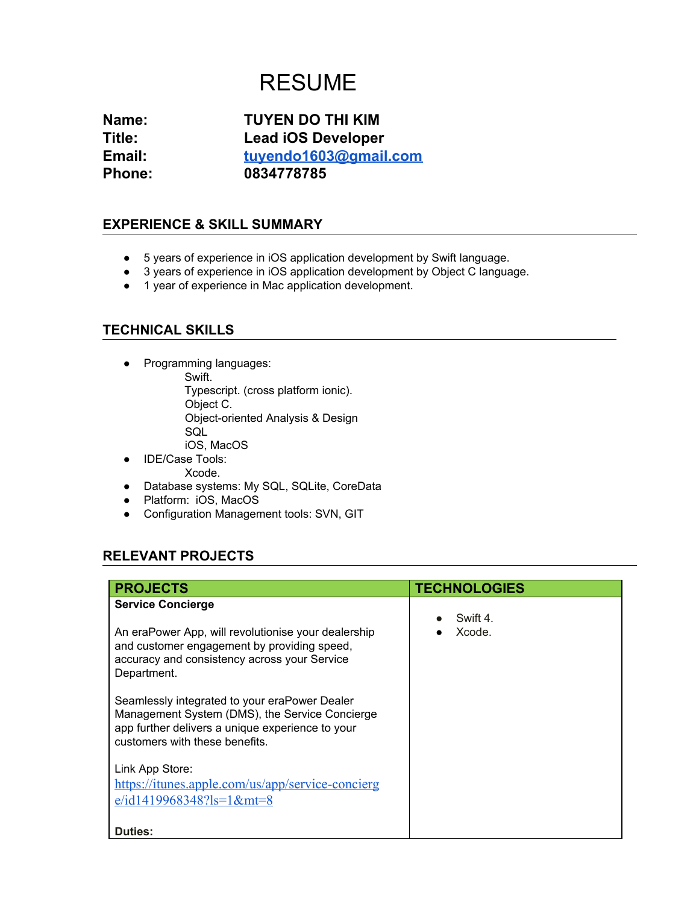# RESUME

**Name: TUYEN DO THI KIM Title: Lead iOS Developer Email: [tuyendo1603@gmail.com](mailto:tuyendo1603@gmail.com) Phone: 0834778785**

#### **EXPERIENCE & SKILL SUMMARY**

- 5 years of experience in iOS application development by Swift language.
- 3 years of experience in iOS application development by Object C language.
- 1 year of experience in Mac application development.

#### **TECHNICAL SKILLS**

- Programming languages: Swift. Typescript. (cross platform ionic). Object C. Object-oriented Analysis & Design **SQL** iOS, MacOS
- IDE/Case Tools:
	- Xcode.
- Database systems: My SQL, SQLite, CoreData
- Platform: iOS, MacOS
- Configuration Management tools: SVN, GIT

### **RELEVANT PROJECTS**

| <b>PROJECTS</b>                                                                                                                                                                                                                                                                                                                                                                                                                                                                             | <b>TECHNOLOGIES</b> |
|---------------------------------------------------------------------------------------------------------------------------------------------------------------------------------------------------------------------------------------------------------------------------------------------------------------------------------------------------------------------------------------------------------------------------------------------------------------------------------------------|---------------------|
| <b>Service Concierge</b><br>An eraPower App, will revolutionise your dealership<br>and customer engagement by providing speed,<br>accuracy and consistency across your Service<br>Department.<br>Seamlessly integrated to your eraPower Dealer<br>Management System (DMS), the Service Concierge<br>app further delivers a unique experience to your<br>customers with these benefits.<br>Link App Store:<br>https://itunes.apple.com/us/app/service-concierg<br>$e/d1419968348?$ ls=1&mt=8 | Swift 4<br>Xcode.   |
| <b>Duties:</b>                                                                                                                                                                                                                                                                                                                                                                                                                                                                              |                     |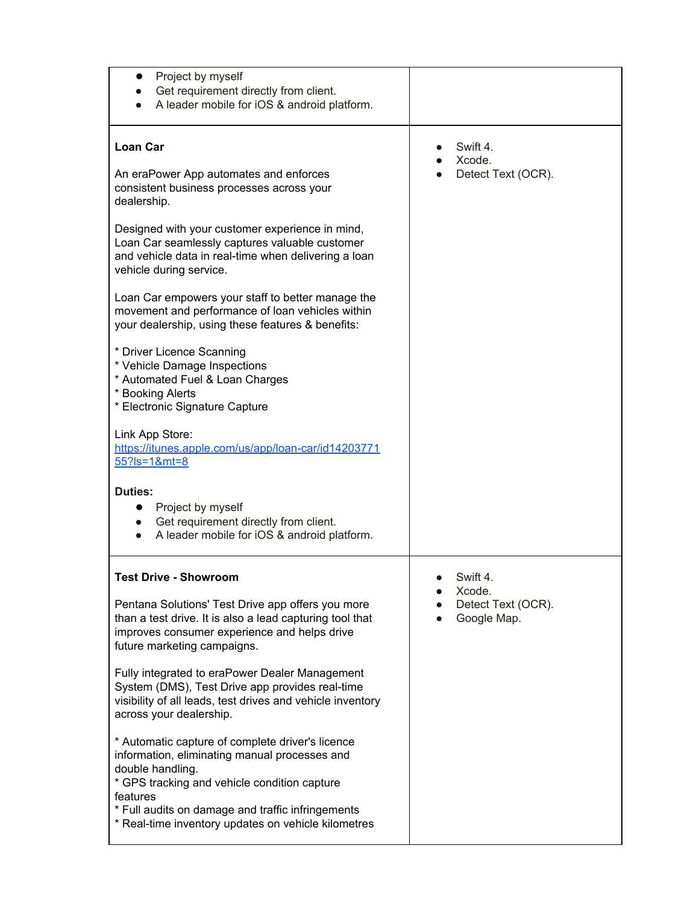| Project by myself<br>$\bullet$<br>Get requirement directly from client.<br>A leader mobile for iOS & android platform.                                                                                                                                                                                                                                                                                                                                                                                                                                                                                                                                                                                                                                                                                                                                                                               |                                                        |
|------------------------------------------------------------------------------------------------------------------------------------------------------------------------------------------------------------------------------------------------------------------------------------------------------------------------------------------------------------------------------------------------------------------------------------------------------------------------------------------------------------------------------------------------------------------------------------------------------------------------------------------------------------------------------------------------------------------------------------------------------------------------------------------------------------------------------------------------------------------------------------------------------|--------------------------------------------------------|
| <b>Loan Car</b><br>An eraPower App automates and enforces<br>consistent business processes across your<br>dealership.<br>Designed with your customer experience in mind,<br>Loan Car seamlessly captures valuable customer<br>and vehicle data in real-time when delivering a loan<br>vehicle during service.<br>Loan Car empowers your staff to better manage the<br>movement and performance of loan vehicles within<br>your dealership, using these features & benefits:<br>* Driver Licence Scanning<br>* Vehicle Damage Inspections<br>* Automated Fuel & Loan Charges<br>* Booking Alerts<br>* Electronic Signature Capture<br>Link App Store:<br>https://itunes.apple.com/us/app/loan-car/id14203771<br>$55?$ Is=1&mt=8<br><b>Duties:</b><br>Project by myself<br>$\bullet$<br>Get requirement directly from client.<br>$\bullet$<br>A leader mobile for iOS & android platform.<br>$\bullet$ | Swift 4.<br>Xcode.<br>Detect Text (OCR).               |
| <b>Test Drive - Showroom</b><br>Pentana Solutions' Test Drive app offers you more<br>than a test drive. It is also a lead capturing tool that<br>improves consumer experience and helps drive<br>future marketing campaigns.<br>Fully integrated to eraPower Dealer Management<br>System (DMS), Test Drive app provides real-time<br>visibility of all leads, test drives and vehicle inventory<br>across your dealership.<br>* Automatic capture of complete driver's licence<br>information, eliminating manual processes and<br>double handling.<br>* GPS tracking and vehicle condition capture<br>features<br>* Full audits on damage and traffic infringements<br>* Real-time inventory updates on vehicle kilometres                                                                                                                                                                          | Swift 4<br>Xcode.<br>Detect Text (OCR).<br>Google Map. |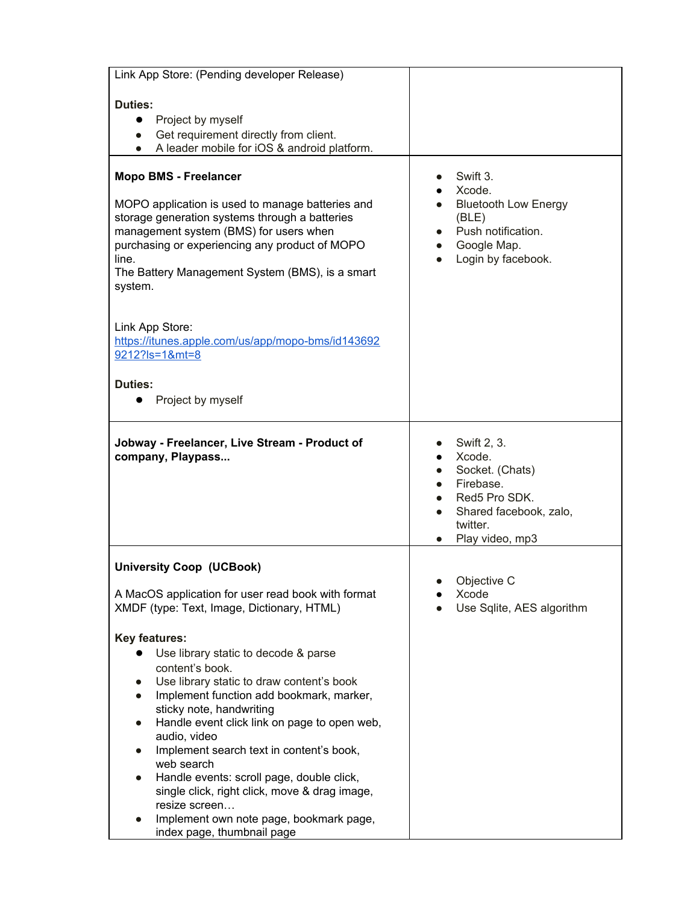| Link App Store: (Pending developer Release)                                                                                                                                                                                                                                                                                                                                                                                                         |                                                                                                                                 |
|-----------------------------------------------------------------------------------------------------------------------------------------------------------------------------------------------------------------------------------------------------------------------------------------------------------------------------------------------------------------------------------------------------------------------------------------------------|---------------------------------------------------------------------------------------------------------------------------------|
| <b>Duties:</b><br>Project by myself<br>$\bullet$<br>Get requirement directly from client.<br>$\bullet$<br>A leader mobile for iOS & android platform.                                                                                                                                                                                                                                                                                               |                                                                                                                                 |
| <b>Mopo BMS - Freelancer</b><br>MOPO application is used to manage batteries and<br>storage generation systems through a batteries<br>management system (BMS) for users when<br>purchasing or experiencing any product of MOPO<br>line.<br>The Battery Management System (BMS), is a smart<br>system.<br>Link App Store:<br>https://itunes.apple.com/us/app/mopo-bms/id143692<br>9212?ls=1&mt=8<br><b>Duties:</b><br>Project by myself<br>$\bullet$ | Swift 3.<br>Xcode.<br><b>Bluetooth Low Energy</b><br>(BLE)<br>Push notification.<br>Google Map.<br>Login by facebook.           |
| Jobway - Freelancer, Live Stream - Product of<br>company, Playpass                                                                                                                                                                                                                                                                                                                                                                                  | Swift 2, 3.<br>Xcode.<br>Socket. (Chats)<br>Firebase.<br>Red5 Pro SDK.<br>Shared facebook, zalo,<br>twitter.<br>Play video, mp3 |
| <b>University Coop (UCBook)</b><br>A MacOS application for user read book with format<br>XMDF (type: Text, Image, Dictionary, HTML)                                                                                                                                                                                                                                                                                                                 | Objective C<br>Xcode<br>Use Sqlite, AES algorithm                                                                               |
| <b>Key features:</b><br>Use library static to decode & parse<br>content's book.<br>Use library static to draw content's book<br>Implement function add bookmark, marker,<br>sticky note, handwriting<br>Handle event click link on page to open web,<br>audio, video<br>Implement search text in content's book,<br>web search<br>Handle events: scroll page, double click,<br>single click, right click, move & drag image,<br>resize screen       |                                                                                                                                 |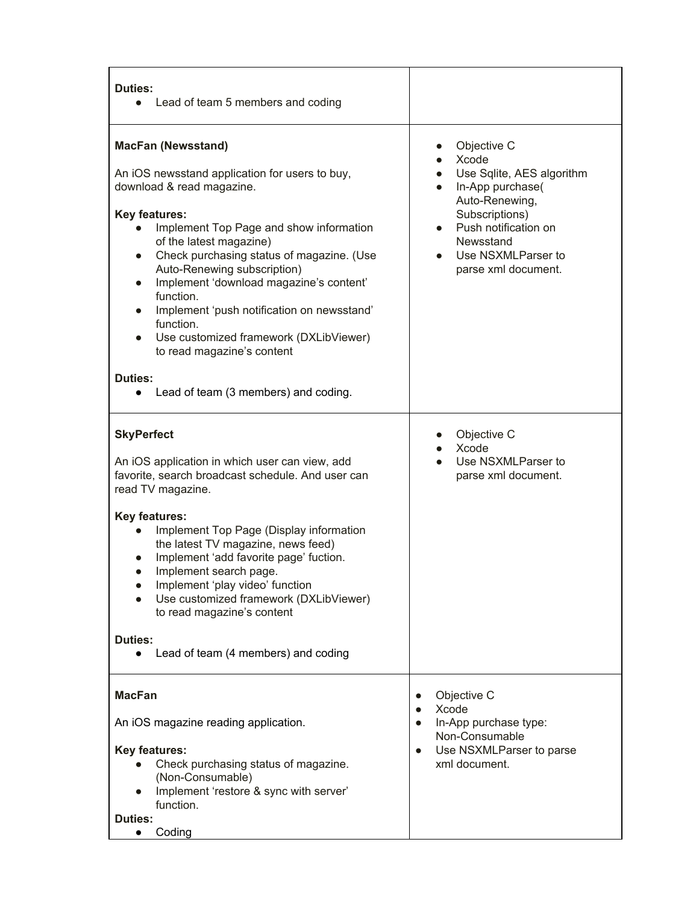| Duties:<br>Lead of team 5 members and coding                                                                                                                                                                                                                                                                                                                                                                                                                                                                                                                                                      |                                                                                                                                                                                             |
|---------------------------------------------------------------------------------------------------------------------------------------------------------------------------------------------------------------------------------------------------------------------------------------------------------------------------------------------------------------------------------------------------------------------------------------------------------------------------------------------------------------------------------------------------------------------------------------------------|---------------------------------------------------------------------------------------------------------------------------------------------------------------------------------------------|
| <b>MacFan (Newsstand)</b><br>An iOS newsstand application for users to buy,<br>download & read magazine.<br><b>Key features:</b><br>Implement Top Page and show information<br>$\bullet$<br>of the latest magazine)<br>Check purchasing status of magazine. (Use<br>$\bullet$<br>Auto-Renewing subscription)<br>Implement 'download magazine's content'<br>$\bullet$<br>function.<br>Implement 'push notification on newsstand'<br>$\bullet$<br>function.<br>Use customized framework (DXLibViewer)<br>to read magazine's content<br>Duties:<br>Lead of team (3 members) and coding.<br>$\bullet$ | Objective C<br>Xcode<br>Use Sqlite, AES algorithm<br>In-App purchase(<br>Auto-Renewing,<br>Subscriptions)<br>Push notification on<br>Newsstand<br>Use NSXMLParser to<br>parse xml document. |
| <b>SkyPerfect</b><br>An iOS application in which user can view, add<br>favorite, search broadcast schedule. And user can<br>read TV magazine.<br><b>Key features:</b><br>Implement Top Page (Display information<br>the latest TV magazine, news feed)<br>Implement 'add favorite page' fuction.<br>Implement search page.<br>$\bullet$<br>Implement 'play video' function<br>Use customized framework (DXLibViewer)<br>to read magazine's content<br>Duties:<br>Lead of team (4 members) and coding                                                                                              | Objective C<br>Xcode<br>Use NSXMLParser to<br>parse xml document.                                                                                                                           |
| <b>MacFan</b><br>An iOS magazine reading application.<br><b>Key features:</b><br>Check purchasing status of magazine.<br>(Non-Consumable)<br>Implement 'restore & sync with server'<br>function.<br>Duties:<br>Coding                                                                                                                                                                                                                                                                                                                                                                             | Objective C<br>$\bullet$<br>Xcode<br>$\bullet$<br>In-App purchase type:<br>$\bullet$<br>Non-Consumable<br>Use NSXMLParser to parse<br>$\bullet$<br>xml document.                            |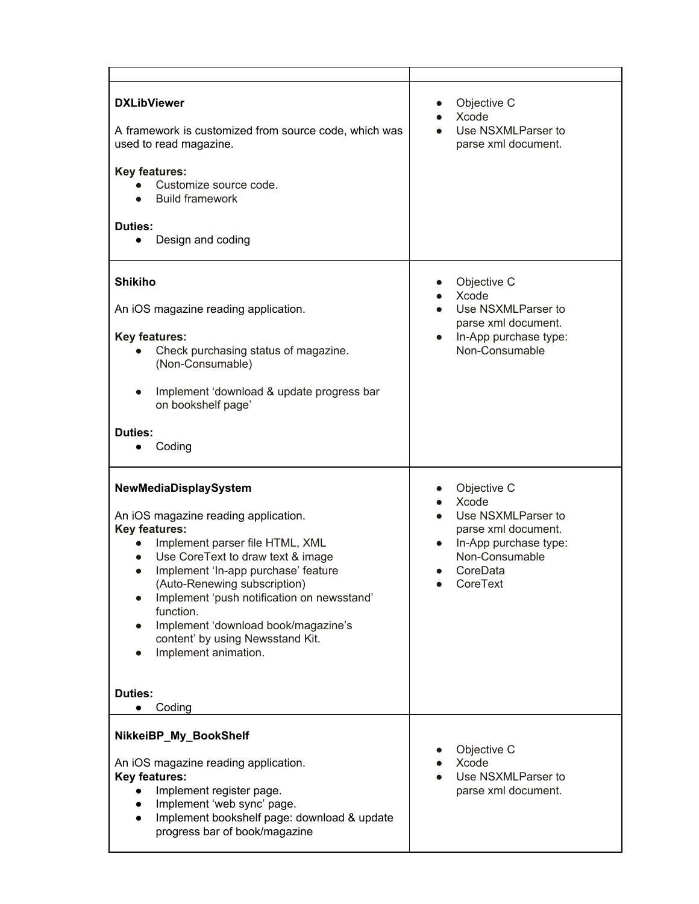| <b>DXLibViewer</b><br>A framework is customized from source code, which was<br>used to read magazine.<br><b>Key features:</b><br>Customize source code.<br><b>Build framework</b><br>Duties:<br>Design and coding                                                                                                                                                                                  | Objective C<br>Xcode<br>Use NSXMLParser to<br>parse xml document.                                                                    |
|----------------------------------------------------------------------------------------------------------------------------------------------------------------------------------------------------------------------------------------------------------------------------------------------------------------------------------------------------------------------------------------------------|--------------------------------------------------------------------------------------------------------------------------------------|
| <b>Shikiho</b><br>An iOS magazine reading application.<br><b>Key features:</b><br>Check purchasing status of magazine.<br>(Non-Consumable)<br>Implement 'download & update progress bar<br>on bookshelf page'<br>Duties:<br>Coding                                                                                                                                                                 | Objective C<br>Xcode<br>Use NSXMLParser to<br>parse xml document.<br>In-App purchase type:<br>Non-Consumable                         |
| NewMediaDisplaySystem<br>An iOS magazine reading application.<br><b>Key features:</b><br>Implement parser file HTML, XML<br>Use CoreText to draw text & image<br>Implement 'In-app purchase' feature<br>(Auto-Renewing subscription)<br>Implement 'push notification on newsstand'<br>function.<br>Implement 'download book/magazine's<br>content' by using Newsstand Kit.<br>Implement animation. | Objective C<br>Xcode<br>Use NSXMLParser to<br>parse xml document.<br>In-App purchase type:<br>Non-Consumable<br>CoreData<br>CoreText |
| Duties:<br>Coding<br>NikkeiBP_My_BookShelf<br>An iOS magazine reading application.<br><b>Key features:</b><br>Implement register page.<br>$\bullet$<br>Implement 'web sync' page.<br>$\bullet$<br>Implement bookshelf page: download & update<br>$\bullet$<br>progress bar of book/magazine                                                                                                        | Objective C<br>Xcode<br>Use NSXMLParser to<br>parse xml document.                                                                    |